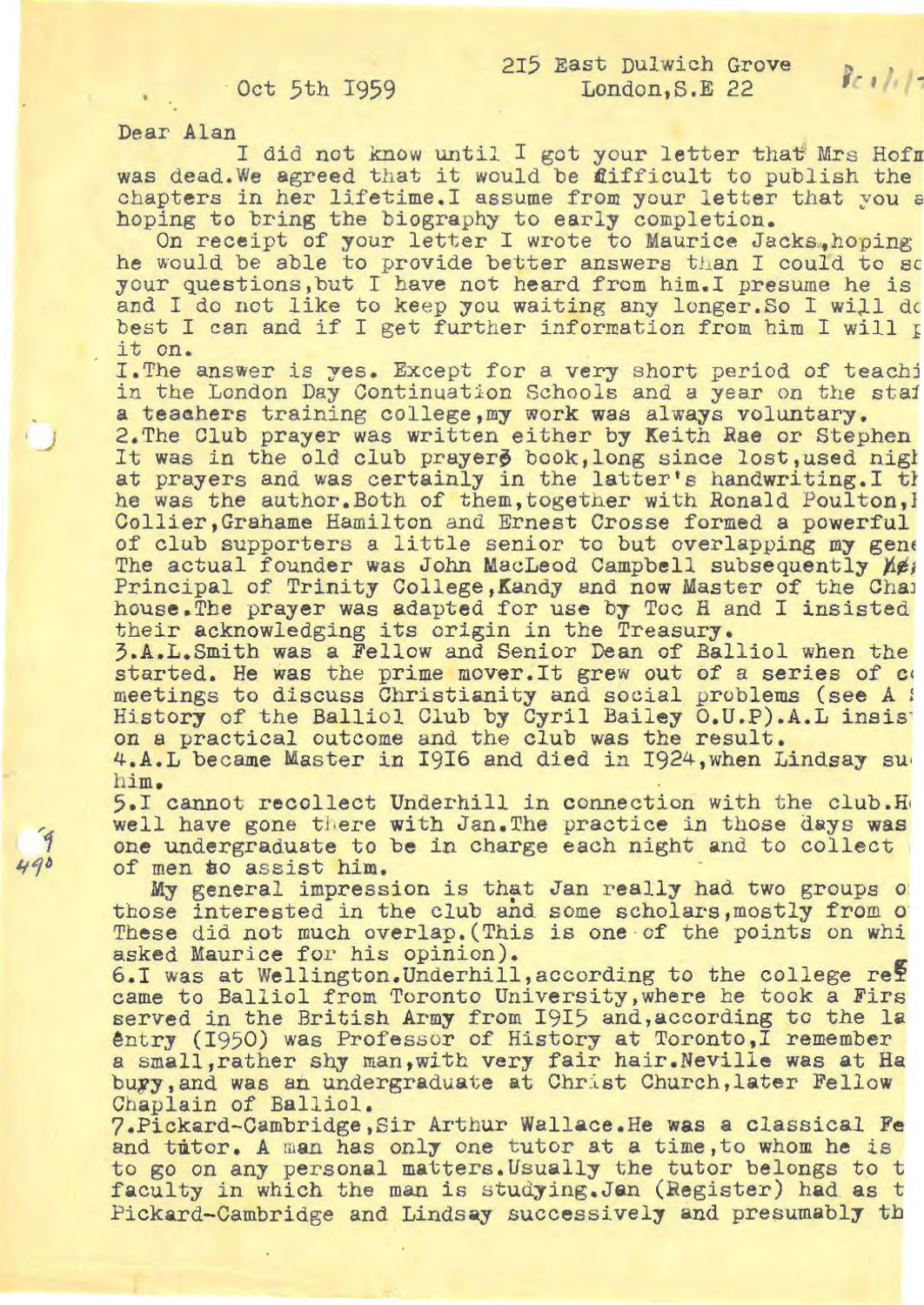## Oct 5th 1959

Dear Alan

*)* 

 $490$ 

215 East Dulwich Grove<br>1 did not know until I got your letter that Mrs Hofr was dead. We agreed that it would be fifficult to publish the chapters in her lifetime. I assume from your letter that you a hoping to bring the biography to early completion.

On receipt of your letter I wrote to Maurice Jacks, hoping he would be able to provide better answers than I could to so your questions,but I have not heard from him. I presume he is and I do not like to keep you waiting any longer. So I will do best I can and if I get further information from him I will p it on.

I.The answer is yes. Except for a very short period of teachj in the London Day Continuation Schools and a year on the staj a teaahers training college ,my work was always voluntary.

2. The Club prayer was written either by Keith Rae or Stephen It was in the old club prayers book, long since lost, used night at prayers and was certainly in the latter's handwriting. I th he was the author. Both of them, together with Ronald Poulton, I Collier, Grahame Hamilton and Ernest Crosse formed a powerful of club supporters a little senior to but overlapping my gene The actual founder was John MacLeod Campbell subsequently *Yei* Principal of Trinity College, Kandy and now Master of the Chaj house.The prayer was adapted for use by Toe H and I insisted their acknowledging its origin in the Treasury.

3.A. L. Smith was a Fellow and Senior Dean of Balliol when the started. He was the prime mover. It grew out of a series of co meetings to discuss Christianity and social problems **(see** *A :*  on a practical outcome and the club was the result.<br>4.A.L became Master in I9I6 and died in 1924, when Lindsay su

him,

5.I cannot recollect Underhill in connection with the club.Ho well have gone there with Jan. The practice in those days was one undergr aduate to **be** in charge each night and to collect of men to assist him.

My general impression is that Jan really had two groups of those interested in the club and some scholars, mostly from o These did not much overlap. (This is one of the points on whis asked Maurice for his opinion).

6.I was at Wellington. Underhill, according to the college re? came to Balliol from Toronto University ,where he took a Firs served in the British Army from 1915 and, according to the la entry (1950) was Professor of History at Toronto, I remember a small,rather shy man ,with very fair hair. Neville was at Ha bury, and was an undergraduate at Christ Church, later Fellow Chaplain of Balliol.

7.Pickard-Cambridge ,Sir Arthur Wallace.He **was a** classical **Fe**  and tutor. A man has only one tutor at a time, to whom he is to go on any personal matters. Usually the tutor belongs to t faculty in which the man is studying. Jan (Register) had as t Pickard-Cambridge and Lindsay successively and presumably th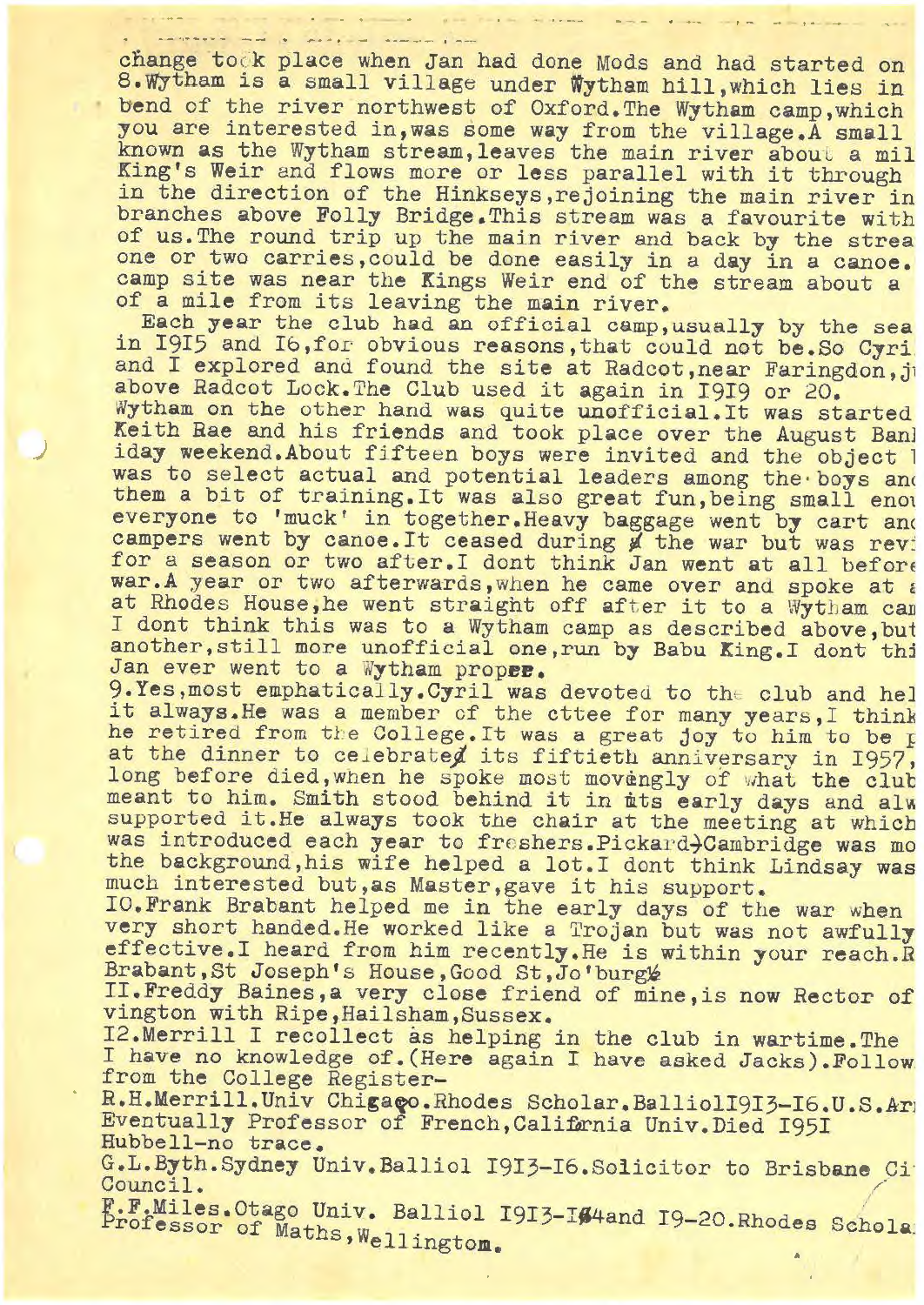change took place when Jan had done Mods and had started on 8.Wytham is a small village under Wytham hill, which lies in bend of the river northwest of Oxford.The Wytham camp,which you are interested in, was some way from the village. A small known as the Wytham stream, leaves the main river about a mil King's Weir and flows more or less parallel with it through in the direction of the Hinkseys, rejoining the main river in branches above Folly Bridge .This stream was a favourite with of us.The round trip up the main river and back by the strea one or two carries, could be done easily in a day in a canoe. camp site was near the Kings Weir end of the stream about a of a **mile** from its leaving the main river.

Each **year** the club had an official camp, usually by the sea<br>in 1915 and 16, for obvious reasons, that could not be. So Cyri and I explored and found the site at Radcot,near Faringdon,jt above Radcot Lock. The Club used it again in I9I9 or 20. Wytham on the other hand was quite unofficial.It was started Keith Rae and his friends and took place over the August Ban] iday weekend.About fifteen boys were invited and the object l was to select actual and potential leaders among the boys and them a bit of training. It was also great fun, being small enot everyone to 'muck' in together. Heavy baggage went by cart and campers went by canoe. It ceased during ø the war but was rev: for a season or two after. I dont think Jan went at all before war.A year or two afterwards, when he came over and spoke at  $\varepsilon$ at Rhodes House,he went straight off after it to a Wytham can I dont think this was to a Wytham camp as described above, but another, still more unofficial one, run by Babu King. I dont thi<br>Jan ever went to a Wytham propee.<br>9.Yes, most emphatically.Cyril was devoted to the club and hel

J

it always. He was a member of the cttee for many years, I think he retired from the College. It was a great joy to him to be I at the dinner to celebrated its fiftieth anniversary in 1957, long before died, when he spoke most movengly of what the club meant to him. Smith stood behind it in mts early days and alw supported it. He always took the chair at the meeting at which was introduced each year to freshers. Pickard-Cambridge was mo the background,his wife helped a lot.I dont think Lindsay was much interested but,as Master,gave it his support.

IO.Frank Brabant helped me in the early days of the war when very short handed. He worked like a Trojan but was not awfully effective.I heard from him recently.He is within your reach .R Brabant, St Joseph's House, Good St, Jo'burg<sup>1</sup>

II. Freddy Baines,a very close friend of mine,is now Rector of vington with Ripe,Hailsham,Sussex.

I2.Merrill I recollect as helping in the club in wartime.The I have no knowledge of.(Here again I have asked Jacks).Follow from the College Register-

R.H.Merrill.Univ Chigago.Rhodes Scholar.BalliolI9I3-I6.U.S.Ar Eventually Professor of French, Califarnia Univ. Died I95I Hubbell-no trace.

G.L.Byth.Sydney Univ.Balliol I9I3-I6.Solicitor to Brisbane Ci<sup>.</sup> Council.

F.F.Miles. Otago Univ. Balliol I9I3-I#4and I9-20. Rhodes Schola: rofessor of Maths, Wellington.